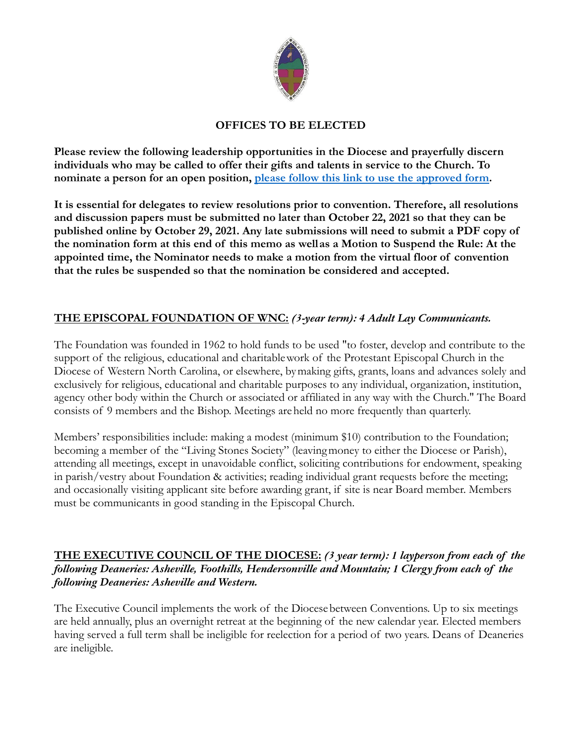

# **OFFICES TO BE ELECTED**

**Please review the following leadership opportunities in the Diocese and prayerfully discern individuals who may be called to offer their gifts and talents in service to the Church. To nominate a person for an open position, please follow this link to use the [approved](https://form.jotform.com/201954759330156) form.**

**It is essential for delegates to review resolutions prior to convention. Therefore, all resolutions and discussion papers must be submitted no later than October 22, 2021 so that they can be published online by October 29, 2021. Any late submissions will need to submit a PDF copy of the nomination form at this end of this memo as wellas a Motion to Suspend the Rule: At the appointed time, the Nominator needs to make a motion from the virtual floor of convention that the rules be suspended so that the nomination be considered and accepted.**

## **THE EPISCOPAL FOUNDATION OF WNC:** *(3-year term): 4 Adult Lay Communicants.*

The Foundation was founded in 1962 to hold funds to be used "to foster, develop and contribute to the support of the religious, educational and charitablework of the Protestant Episcopal Church in the Diocese of Western North Carolina, or elsewhere, bymaking gifts, grants, loans and advances solely and exclusively for religious, educational and charitable purposes to any individual, organization, institution, agency other body within the Church or associated or affiliated in any way with the Church." The Board consists of 9 members and the Bishop. Meetings areheld no more frequently than quarterly.

Members' responsibilities include: making a modest (minimum \$10) contribution to the Foundation; becoming a member of the "Living Stones Society" (leavingmoney to either the Diocese or Parish), attending all meetings, except in unavoidable conflict, soliciting contributions for endowment, speaking in parish/vestry about Foundation & activities; reading individual grant requests before the meeting; and occasionally visiting applicant site before awarding grant, if site is near Board member. Members must be communicants in good standing in the Episcopal Church.

## **THE EXECUTIVE COUNCIL OF THE DIOCESE:** *(3 year term): 1 layperson from each of the following Deaneries: Asheville, Foothills, Hendersonville and Mountain; 1 Clergy from each of the following Deaneries: Asheville and Western.*

The Executive Council implements the work of the Diocesebetween Conventions. Up to six meetings are held annually, plus an overnight retreat at the beginning of the new calendar year. Elected members having served a full term shall be ineligible for reelection for a period of two years. Deans of Deaneries are ineligible.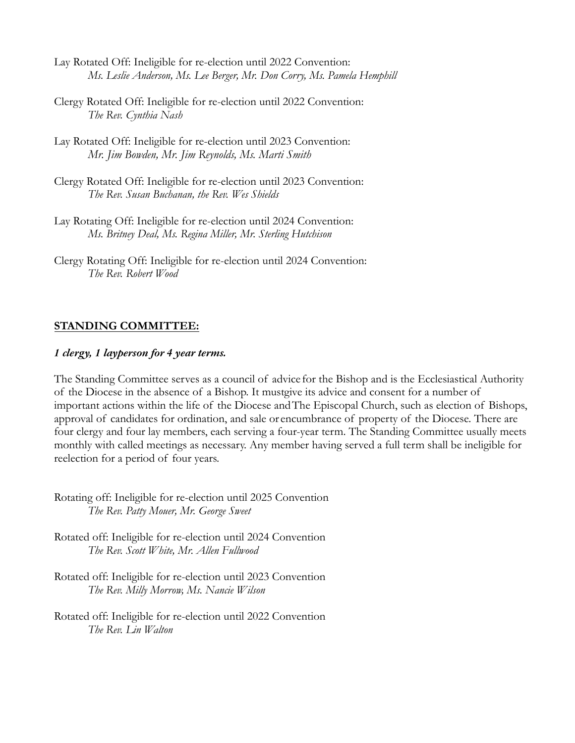- Lay Rotated Off: Ineligible for re-election until 2022 Convention: *Ms. Leslie Anderson, Ms. Lee Berger, Mr. Don Corry, Ms. Pamela Hemphill*
- Clergy Rotated Off: Ineligible for re-election until 2022 Convention: *The Rev. Cynthia Nash*
- Lay Rotated Off: Ineligible for re-election until 2023 Convention: *Mr. Jim Bowden, Mr. Jim Reynolds, Ms. Marti Smith*
- Clergy Rotated Off: Ineligible for re-election until 2023 Convention: *The Rev. Susan Buchanan, the Rev. Wes Shields*
- Lay Rotating Off: Ineligible for re-election until 2024 Convention: *Ms. Britney Deal, Ms. Regina Miller, Mr. Sterling Hutchison*
- Clergy Rotating Off: Ineligible for re-election until 2024 Convention: *The Rev. Robert Wood*

## **STANDING COMMITTEE:**

## *1 clergy, 1 layperson for 4 year terms.*

The Standing Committee serves as a council of advice for the Bishop and is the Ecclesiastical Authority of the Diocese in the absence of a Bishop. It mustgive its advice and consent for a number of important actions within the life of the Diocese andThe Episcopal Church, such as election of Bishops, approval of candidates for ordination, and sale or encumbrance of property of the Diocese. There are four clergy and four lay members, each serving a four-year term. The Standing Committee usually meets monthly with called meetings as necessary. Any member having served a full term shall be ineligible for reelection for a period of four years.

- Rotating off: Ineligible for re-election until 2025 Convention *The Rev. Patty Mouer, Mr. George Sweet*
- Rotated off: Ineligible for re-election until 2024 Convention *The Rev. Scott White, Mr. Allen Fullwood*
- Rotated off: Ineligible for re-election until 2023 Convention *The Rev. Milly Morrow, Ms. Nancie Wilson*
- Rotated off: Ineligible for re-election until 2022 Convention *The Rev. Lin Walton*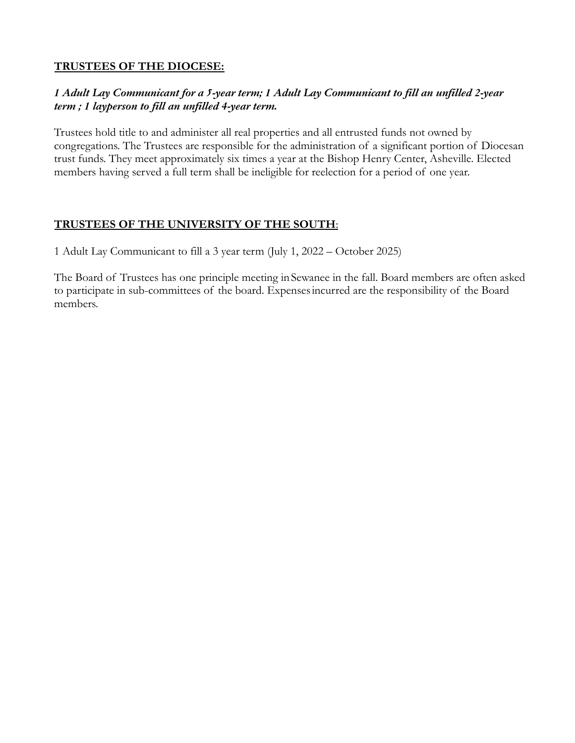# **TRUSTEES OF THE DIOCESE:**

# *1 Adult Lay Communicant for a 5-year term; 1 Adult Lay Communicant to fill an unfilled 2-year term ; 1 layperson to fill an unfilled 4-year term.*

Trustees hold title to and administer all real properties and all entrusted funds not owned by congregations. The Trustees are responsible for the administration of a significant portion of Diocesan trust funds. They meet approximately six times a year at the Bishop Henry Center, Asheville. Elected members having served a full term shall be ineligible for reelection for a period of one year.

# **TRUSTEES OF THE UNIVERSITY OF THE SOUTH**:

1 Adult Lay Communicant to fill a 3 year term (July 1, 2022 – October 2025)

The Board of Trustees has one principle meeting inSewanee in the fall. Board members are often asked to participate in sub-committees of the board. Expensesincurred are the responsibility of the Board members.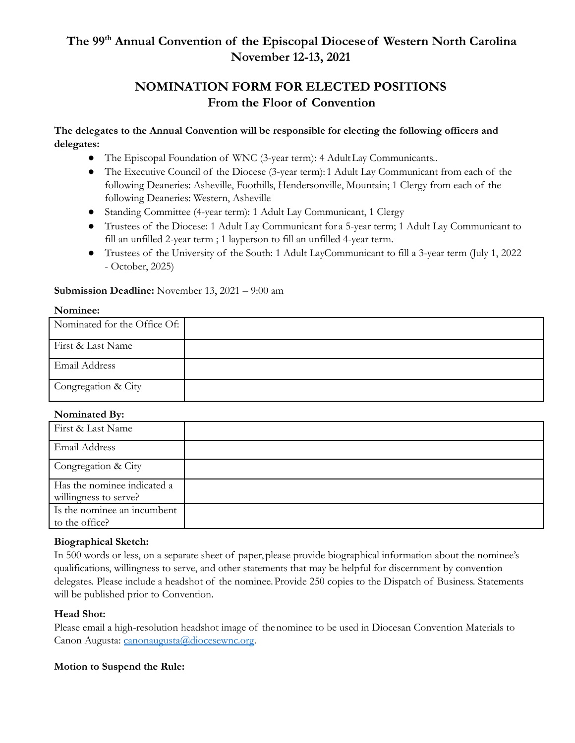# **The 99 th Annual Convention of the Episcopal Dioceseof Western North Carolina November 12-13, 2021**

# **NOMINATION FORM FOR ELECTED POSITIONS From the Floor of Convention**

## **The delegates to the Annual Convention will be responsible for electing the following officers and delegates:**

- The Episcopal Foundation of WNC (3-year term): 4 AdultLay Communicants..
- The Executive Council of the Diocese (3-year term): 1 Adult Lay Communicant from each of the following Deaneries: Asheville, Foothills, Hendersonville, Mountain; 1 Clergy from each of the following Deaneries: Western, Asheville
- Standing Committee (4-year term): 1 Adult Lay Communicant, 1 Clergy
- Trustees of the Diocese: 1 Adult Lay Communicant for a 5-year term; 1 Adult Lay Communicant to fill an unfilled 2-year term ; 1 layperson to fill an unfilled 4-year term.
- Trustees of the University of the South: 1 Adult LayCommunicant to fill a 3-year term (July 1, 2022 - October, 2025)

### **Submission Deadline:** November 13, 2021 – 9:00 am

#### **Nominee:**

| Nominated for the Office Of: |  |
|------------------------------|--|
| First & Last Name            |  |
| <b>Email Address</b>         |  |
| Congregation & City          |  |

#### **Nominated By:**

## **Biographical Sketch:**

In 500 words or less, on a separate sheet of paper,please provide biographical information about the nominee's qualifications, willingness to serve, and other statements that may be helpful for discernment by convention delegates. Please include a headshot of the nominee.Provide 250 copies to the Dispatch of Business. Statements will be published prior to Convention.

## **Head Shot:**

Please email a high-resolution headshot image of thenominee to be used in Diocesan Convention Materials to Canon Augusta: [canonaugusta@diocesewnc.org.](mailto:canonaugusta@diocesewnc.org)

## **Motion to Suspend the Rule:**